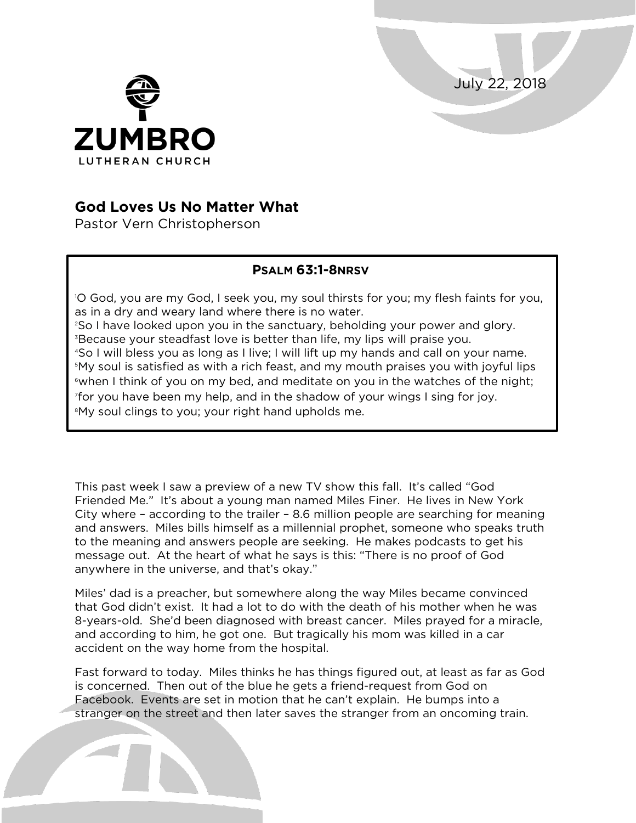July 22, 2018



## **God Loves Us No Matter What**

Pastor Vern Christopherson

## **PSALM 63:1-8NRSV**

 O God, you are my God, I seek you, my soul thirsts for you; my flesh faints for you, as in a dry and weary land where there is no water. So I have looked upon you in the sanctuary, beholding your power and glory. Because your steadfast love is better than life, my lips will praise you. So I will bless you as long as I live; I will lift up my hands and call on your name. My soul is satisfied as with a rich feast, and my mouth praises you with joyful lips  $\,^{\circ}$ when I think of you on my bed, and meditate on you in the watches of the night; for you have been my help, and in the shadow of your wings I sing for joy. My soul clings to you; your right hand upholds me.

This past week I saw a preview of a new TV show this fall. It's called "God Friended Me." It's about a young man named Miles Finer. He lives in New York City where – according to the trailer – 8.6 million people are searching for meaning and answers. Miles bills himself as a millennial prophet, someone who speaks truth to the meaning and answers people are seeking. He makes podcasts to get his message out. At the heart of what he says is this: "There is no proof of God anywhere in the universe, and that's okay."

Miles' dad is a preacher, but somewhere along the way Miles became convinced that God didn't exist. It had a lot to do with the death of his mother when he was 8-years-old. She'd been diagnosed with breast cancer. Miles prayed for a miracle, and according to him, he got one. But tragically his mom was killed in a car accident on the way home from the hospital.

Fast forward to today. Miles thinks he has things figured out, at least as far as God is concerned. Then out of the blue he gets a friend-request from God on Facebook. Events are set in motion that he can't explain. He bumps into a stranger on the street and then later saves the stranger from an oncoming train.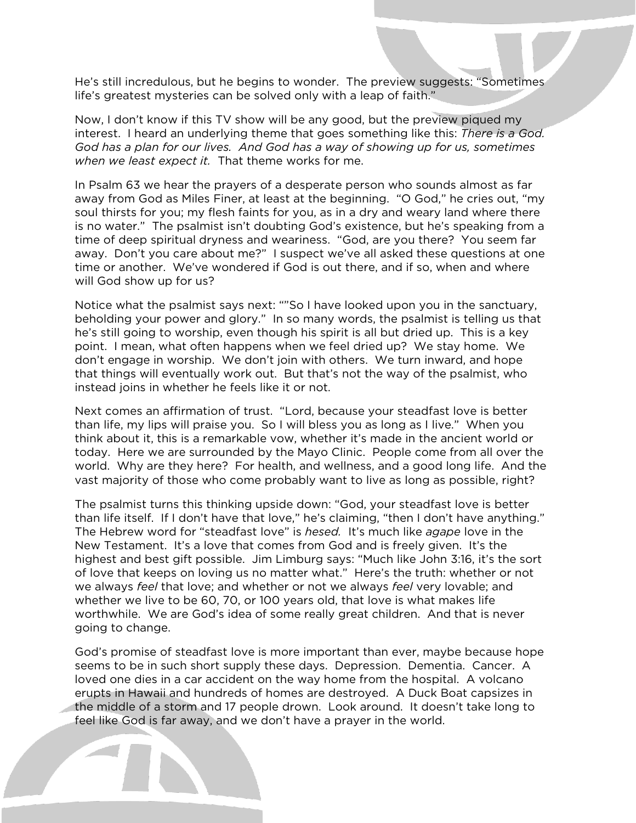He's still incredulous, but he begins to wonder. The preview suggests: "Sometimes life's greatest mysteries can be solved only with a leap of faith."

Now, I don't know if this TV show will be any good, but the preview piqued my interest. I heard an underlying theme that goes something like this: *There is a God. God has a plan for our lives. And God has a way of showing up for us, sometimes when we least expect it.* That theme works for me.

In Psalm 63 we hear the prayers of a desperate person who sounds almost as far away from God as Miles Finer, at least at the beginning. "O God," he cries out, "my soul thirsts for you; my flesh faints for you, as in a dry and weary land where there is no water." The psalmist isn't doubting God's existence, but he's speaking from a time of deep spiritual dryness and weariness. "God, are you there? You seem far away. Don't you care about me?" I suspect we've all asked these questions at one time or another. We've wondered if God is out there, and if so, when and where will God show up for us?

Notice what the psalmist says next: ""So I have looked upon you in the sanctuary, beholding your power and glory." In so many words, the psalmist is telling us that he's still going to worship, even though his spirit is all but dried up. This is a key point. I mean, what often happens when we feel dried up? We stay home. We don't engage in worship. We don't join with others. We turn inward, and hope that things will eventually work out. But that's not the way of the psalmist, who instead joins in whether he feels like it or not.

Next comes an affirmation of trust. "Lord, because your steadfast love is better than life, my lips will praise you. So I will bless you as long as I live." When you think about it, this is a remarkable vow, whether it's made in the ancient world or today. Here we are surrounded by the Mayo Clinic. People come from all over the world. Why are they here? For health, and wellness, and a good long life. And the vast majority of those who come probably want to live as long as possible, right?

The psalmist turns this thinking upside down: "God, your steadfast love is better than life itself. If I don't have that love," he's claiming, "then I don't have anything." The Hebrew word for "steadfast love" is *hesed.* It's much like *agape* love in the New Testament. It's a love that comes from God and is freely given. It's the highest and best gift possible. Jim Limburg says: "Much like John 3:16, it's the sort of love that keeps on loving us no matter what." Here's the truth: whether or not we always *feel* that love; and whether or not we always *feel* very lovable; and whether we live to be 60, 70, or 100 years old, that love is what makes life worthwhile. We are God's idea of some really great children. And that is never going to change.

God's promise of steadfast love is more important than ever, maybe because hope seems to be in such short supply these days. Depression. Dementia. Cancer. A loved one dies in a car accident on the way home from the hospital. A volcano erupts in Hawaii and hundreds of homes are destroyed. A Duck Boat capsizes in the middle of a storm and 17 people drown. Look around. It doesn't take long to feel like God is far away, and we don't have a prayer in the world.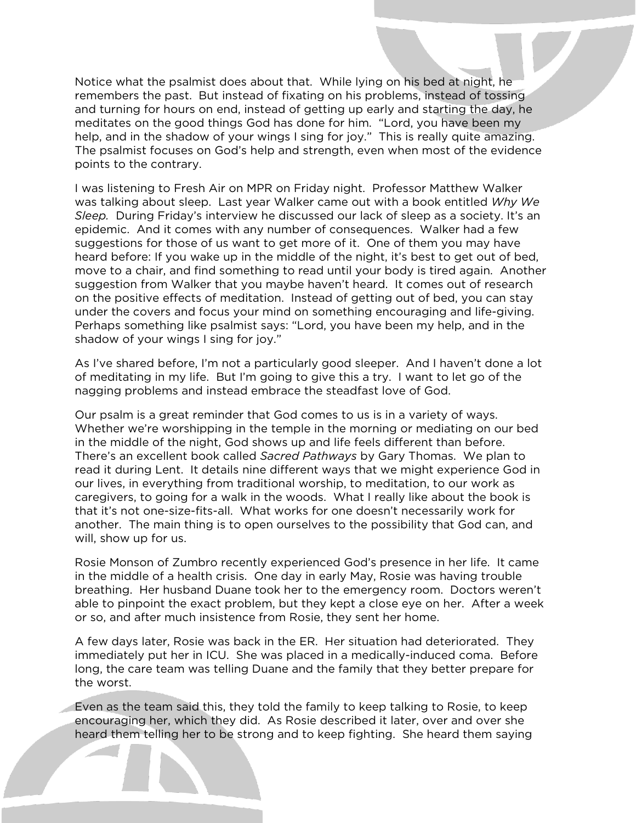Notice what the psalmist does about that. While lying on his bed at night, he remembers the past. But instead of fixating on his problems, instead of tossing and turning for hours on end, instead of getting up early and starting the day, he meditates on the good things God has done for him. "Lord, you have been my help, and in the shadow of your wings I sing for joy." This is really quite amazing. The psalmist focuses on God's help and strength, even when most of the evidence points to the contrary.

I was listening to Fresh Air on MPR on Friday night. Professor Matthew Walker was talking about sleep. Last year Walker came out with a book entitled *Why We Sleep.* During Friday's interview he discussed our lack of sleep as a society. It's an epidemic. And it comes with any number of consequences. Walker had a few suggestions for those of us want to get more of it. One of them you may have heard before: If you wake up in the middle of the night, it's best to get out of bed, move to a chair, and find something to read until your body is tired again. Another suggestion from Walker that you maybe haven't heard. It comes out of research on the positive effects of meditation. Instead of getting out of bed, you can stay under the covers and focus your mind on something encouraging and life-giving. Perhaps something like psalmist says: "Lord, you have been my help, and in the shadow of your wings I sing for joy."

As I've shared before, I'm not a particularly good sleeper. And I haven't done a lot of meditating in my life. But I'm going to give this a try. I want to let go of the nagging problems and instead embrace the steadfast love of God.

Our psalm is a great reminder that God comes to us is in a variety of ways. Whether we're worshipping in the temple in the morning or mediating on our bed in the middle of the night, God shows up and life feels different than before. There's an excellent book called *Sacred Pathways* by Gary Thomas. We plan to read it during Lent. It details nine different ways that we might experience God in our lives, in everything from traditional worship, to meditation, to our work as caregivers, to going for a walk in the woods. What I really like about the book is that it's not one-size-fits-all. What works for one doesn't necessarily work for another. The main thing is to open ourselves to the possibility that God can, and will, show up for us.

Rosie Monson of Zumbro recently experienced God's presence in her life. It came in the middle of a health crisis. One day in early May, Rosie was having trouble breathing. Her husband Duane took her to the emergency room. Doctors weren't able to pinpoint the exact problem, but they kept a close eye on her. After a week or so, and after much insistence from Rosie, they sent her home.

A few days later, Rosie was back in the ER. Her situation had deteriorated. They immediately put her in ICU. She was placed in a medically-induced coma. Before long, the care team was telling Duane and the family that they better prepare for the worst.

Even as the team said this, they told the family to keep talking to Rosie, to keep encouraging her, which they did. As Rosie described it later, over and over she heard them telling her to be strong and to keep fighting. She heard them saying